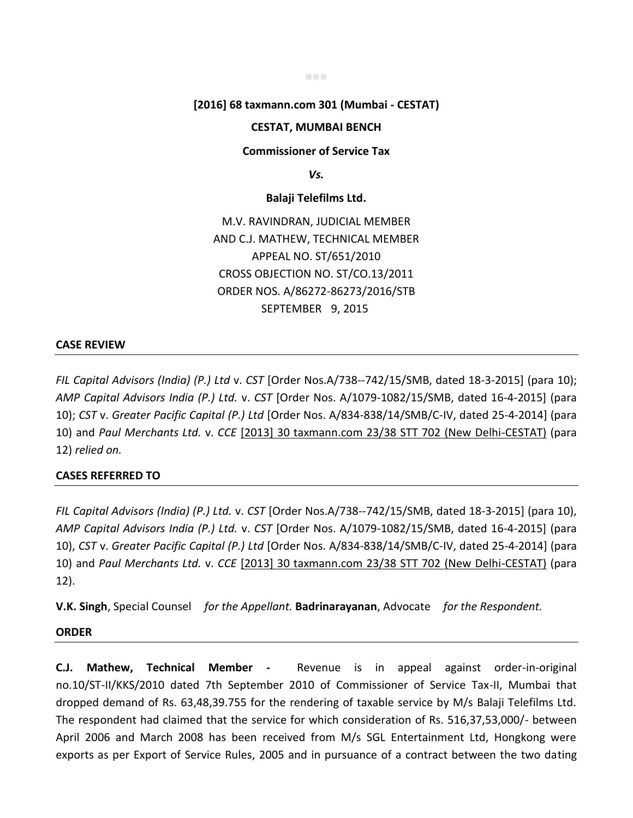■■■

### **[2016] 68 taxmann.com 301 (Mumbai - CESTAT)**

### **CESTAT, MUMBAI BENCH**

**Commissioner of Service Tax** 

*Vs.* 

### **Balaji Telefilms Ltd.**

M.V. RAVINDRAN, JUDICIAL MEMBER AND C.J. MATHEW, TECHNICAL MEMBER APPEAL NO. ST/651/2010 CROSS OBJECTION NO. ST/CO.13/2011 ORDER NOS. A/86272-86273/2016/STB SEPTEMBER 9, 2015

## **CASE REVIEW**

*FIL Capital Advisors (India) (P.) Ltd* v. *CST* [Order Nos.A/738--742/15/SMB, dated 18-3-2015] (para 10); *AMP Capital Advisors India (P.) Ltd.* v. *CST* [Order Nos. A/1079-1082/15/SMB, dated 16-4-2015] (para 10); *CST* v. *Greater Pacific Capital (P.) Ltd* [Order Nos. A/834-838/14/SMB/C-IV, dated 25-4-2014] (para 10) and *Paul Merchants Ltd.* v. *CCE* [2013] 30 taxmann.com 23/38 STT 702 (New Delhi-CESTAT) (para 12) *relied on.*

#### **CASES REFERRED TO**

*FIL Capital Advisors (India) (P.) Ltd.* v. *CST* [Order Nos.A/738--742/15/SMB, dated 18-3-2015] (para 10), *AMP Capital Advisors India (P.) Ltd.* v. *CST* [Order Nos. A/1079-1082/15/SMB, dated 16-4-2015] (para 10), *CST* v. *Greater Pacific Capital (P.) Ltd* [Order Nos. A/834-838/14/SMB/C-IV, dated 25-4-2014] (para 10) and *Paul Merchants Ltd.* v. *CCE* [2013] 30 taxmann.com 23/38 STT 702 (New Delhi-CESTAT) (para 12).

**V.K. Singh**, Special Counsel *for the Appellant.* **Badrinarayanan**, Advocate *for the Respondent.*

#### **ORDER**

**C.J. Mathew, Technical Member -** Revenue is in appeal against order-in-original no.10/ST-II/KKS/2010 dated 7th September 2010 of Commissioner of Service Tax-II, Mumbai that dropped demand of Rs. 63,48,39.755 for the rendering of taxable service by M/s Balaji Telefilms Ltd. The respondent had claimed that the service for which consideration of Rs. 516,37,53,000/- between April 2006 and March 2008 has been received from M/s SGL Entertainment Ltd, Hongkong were exports as per Export of Service Rules, 2005 and in pursuance of a contract between the two dating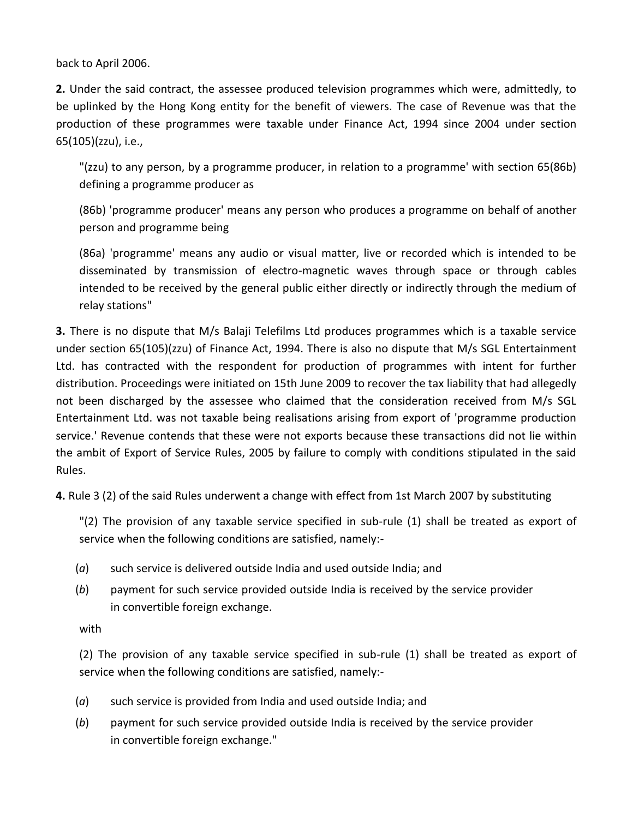back to April 2006.

**2.** Under the said contract, the assessee produced television programmes which were, admittedly, to be uplinked by the Hong Kong entity for the benefit of viewers. The case of Revenue was that the production of these programmes were taxable under Finance Act, 1994 since 2004 under section 65(105)(zzu), i.e.,

"(zzu) to any person, by a programme producer, in relation to a programme' with section 65(86b) defining a programme producer as

(86b) 'programme producer' means any person who produces a programme on behalf of another person and programme being

(86a) 'programme' means any audio or visual matter, live or recorded which is intended to be disseminated by transmission of electro-magnetic waves through space or through cables intended to be received by the general public either directly or indirectly through the medium of relay stations"

**3.** There is no dispute that M/s Balaji Telefilms Ltd produces programmes which is a taxable service under section 65(105)(zzu) of Finance Act, 1994. There is also no dispute that M/s SGL Entertainment Ltd. has contracted with the respondent for production of programmes with intent for further distribution. Proceedings were initiated on 15th June 2009 to recover the tax liability that had allegedly not been discharged by the assessee who claimed that the consideration received from M/s SGL Entertainment Ltd. was not taxable being realisations arising from export of 'programme production service.' Revenue contends that these were not exports because these transactions did not lie within the ambit of Export of Service Rules, 2005 by failure to comply with conditions stipulated in the said Rules.

**4.** Rule 3 (2) of the said Rules underwent a change with effect from 1st March 2007 by substituting

"(2) The provision of any taxable service specified in sub-rule (1) shall be treated as export of service when the following conditions are satisfied, namely:-

- (*a*) such service is delivered outside India and used outside India; and
- (*b*) payment for such service provided outside India is received by the service provider in convertible foreign exchange.

with

(2) The provision of any taxable service specified in sub-rule (1) shall be treated as export of service when the following conditions are satisfied, namely:-

- (*a*) such service is provided from India and used outside India; and
- (*b*) payment for such service provided outside India is received by the service provider in convertible foreign exchange."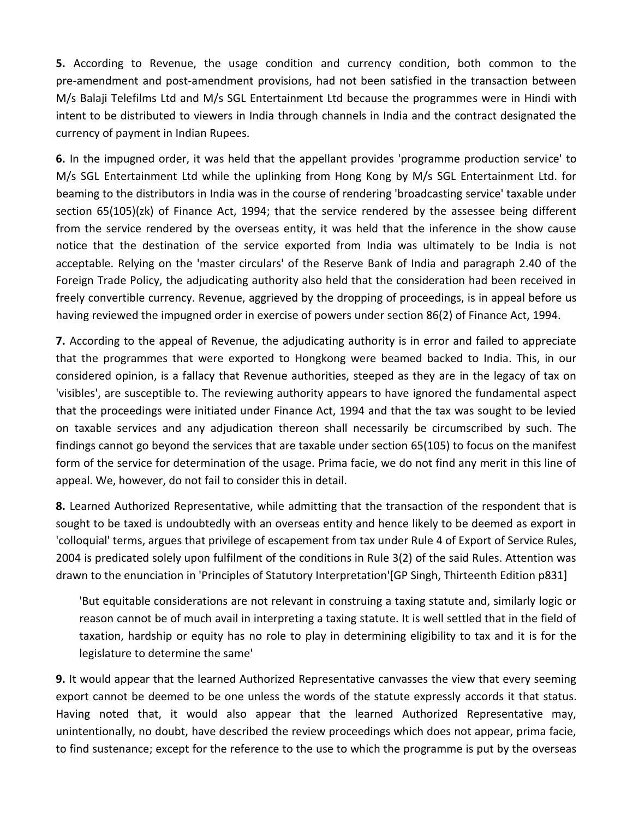**5.** According to Revenue, the usage condition and currency condition, both common to the pre-amendment and post-amendment provisions, had not been satisfied in the transaction between M/s Balaji Telefilms Ltd and M/s SGL Entertainment Ltd because the programmes were in Hindi with intent to be distributed to viewers in India through channels in India and the contract designated the currency of payment in Indian Rupees.

**6.** In the impugned order, it was held that the appellant provides 'programme production service' to M/s SGL Entertainment Ltd while the uplinking from Hong Kong by M/s SGL Entertainment Ltd. for beaming to the distributors in India was in the course of rendering 'broadcasting service' taxable under section 65(105)(zk) of Finance Act, 1994; that the service rendered by the assessee being different from the service rendered by the overseas entity, it was held that the inference in the show cause notice that the destination of the service exported from India was ultimately to be India is not acceptable. Relying on the 'master circulars' of the Reserve Bank of India and paragraph 2.40 of the Foreign Trade Policy, the adjudicating authority also held that the consideration had been received in freely convertible currency. Revenue, aggrieved by the dropping of proceedings, is in appeal before us having reviewed the impugned order in exercise of powers under section 86(2) of Finance Act, 1994.

**7.** According to the appeal of Revenue, the adjudicating authority is in error and failed to appreciate that the programmes that were exported to Hongkong were beamed backed to India. This, in our considered opinion, is a fallacy that Revenue authorities, steeped as they are in the legacy of tax on 'visibles', are susceptible to. The reviewing authority appears to have ignored the fundamental aspect that the proceedings were initiated under Finance Act, 1994 and that the tax was sought to be levied on taxable services and any adjudication thereon shall necessarily be circumscribed by such. The findings cannot go beyond the services that are taxable under section 65(105) to focus on the manifest form of the service for determination of the usage. Prima facie, we do not find any merit in this line of appeal. We, however, do not fail to consider this in detail.

**8.** Learned Authorized Representative, while admitting that the transaction of the respondent that is sought to be taxed is undoubtedly with an overseas entity and hence likely to be deemed as export in 'colloquial' terms, argues that privilege of escapement from tax under Rule 4 of Export of Service Rules, 2004 is predicated solely upon fulfilment of the conditions in Rule 3(2) of the said Rules. Attention was drawn to the enunciation in 'Principles of Statutory Interpretation'[GP Singh, Thirteenth Edition p831]

'But equitable considerations are not relevant in construing a taxing statute and, similarly logic or reason cannot be of much avail in interpreting a taxing statute. It is well settled that in the field of taxation, hardship or equity has no role to play in determining eligibility to tax and it is for the legislature to determine the same'

**9.** It would appear that the learned Authorized Representative canvasses the view that every seeming export cannot be deemed to be one unless the words of the statute expressly accords it that status. Having noted that, it would also appear that the learned Authorized Representative may, unintentionally, no doubt, have described the review proceedings which does not appear, prima facie, to find sustenance; except for the reference to the use to which the programme is put by the overseas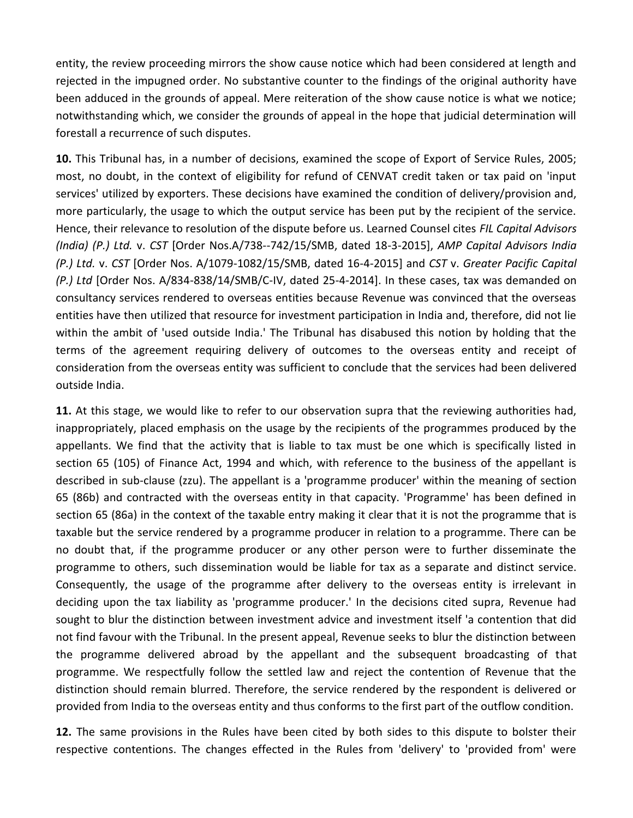entity, the review proceeding mirrors the show cause notice which had been considered at length and rejected in the impugned order. No substantive counter to the findings of the original authority have been adduced in the grounds of appeal. Mere reiteration of the show cause notice is what we notice; notwithstanding which, we consider the grounds of appeal in the hope that judicial determination will forestall a recurrence of such disputes.

**10.** This Tribunal has, in a number of decisions, examined the scope of Export of Service Rules, 2005; most, no doubt, in the context of eligibility for refund of CENVAT credit taken or tax paid on 'input services' utilized by exporters. These decisions have examined the condition of delivery/provision and, more particularly, the usage to which the output service has been put by the recipient of the service. Hence, their relevance to resolution of the dispute before us. Learned Counsel cites *FIL Capital Advisors (India) (P.) Ltd.* v. *CST* [Order Nos.A/738--742/15/SMB, dated 18-3-2015], *AMP Capital Advisors India (P.) Ltd.* v. *CST* [Order Nos. A/1079-1082/15/SMB, dated 16-4-2015] and *CST* v. *Greater Pacific Capital (P.) Ltd* [Order Nos. A/834-838/14/SMB/C-IV, dated 25-4-2014]. In these cases, tax was demanded on consultancy services rendered to overseas entities because Revenue was convinced that the overseas entities have then utilized that resource for investment participation in India and, therefore, did not lie within the ambit of 'used outside India.' The Tribunal has disabused this notion by holding that the terms of the agreement requiring delivery of outcomes to the overseas entity and receipt of consideration from the overseas entity was sufficient to conclude that the services had been delivered outside India.

**11.** At this stage, we would like to refer to our observation supra that the reviewing authorities had, inappropriately, placed emphasis on the usage by the recipients of the programmes produced by the appellants. We find that the activity that is liable to tax must be one which is specifically listed in section 65 (105) of Finance Act, 1994 and which, with reference to the business of the appellant is described in sub-clause (zzu). The appellant is a 'programme producer' within the meaning of section 65 (86b) and contracted with the overseas entity in that capacity. 'Programme' has been defined in section 65 (86a) in the context of the taxable entry making it clear that it is not the programme that is taxable but the service rendered by a programme producer in relation to a programme. There can be no doubt that, if the programme producer or any other person were to further disseminate the programme to others, such dissemination would be liable for tax as a separate and distinct service. Consequently, the usage of the programme after delivery to the overseas entity is irrelevant in deciding upon the tax liability as 'programme producer.' In the decisions cited supra, Revenue had sought to blur the distinction between investment advice and investment itself 'a contention that did not find favour with the Tribunal. In the present appeal, Revenue seeks to blur the distinction between the programme delivered abroad by the appellant and the subsequent broadcasting of that programme. We respectfully follow the settled law and reject the contention of Revenue that the distinction should remain blurred. Therefore, the service rendered by the respondent is delivered or provided from India to the overseas entity and thus conforms to the first part of the outflow condition.

**12.** The same provisions in the Rules have been cited by both sides to this dispute to bolster their respective contentions. The changes effected in the Rules from 'delivery' to 'provided from' were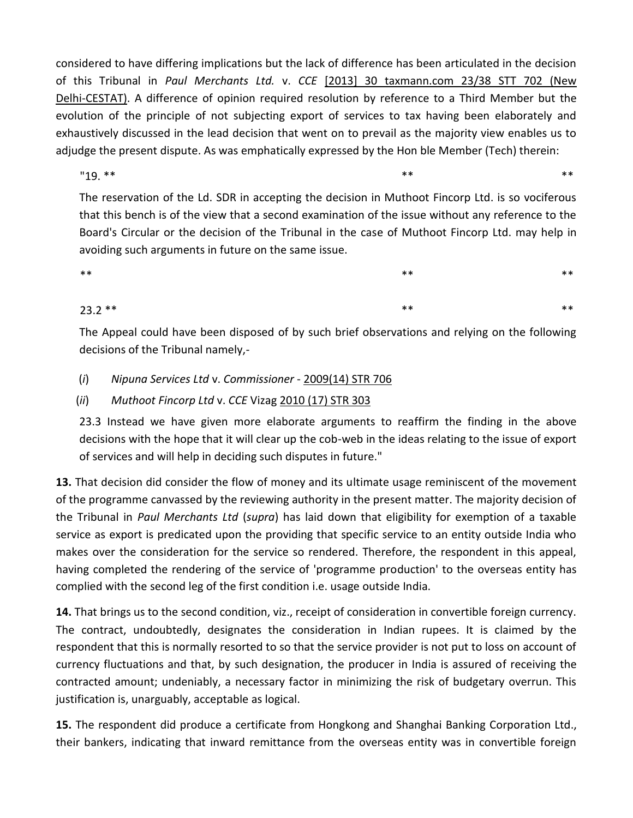considered to have differing implications but the lack of difference has been articulated in the decision of this Tribunal in *Paul Merchants Ltd.* v. *CCE* [2013] 30 taxmann.com 23/38 STT 702 (New Delhi-CESTAT). A difference of opinion required resolution by reference to a Third Member but the evolution of the principle of not subjecting export of services to tax having been elaborately and exhaustively discussed in the lead decision that went on to prevail as the majority view enables us to adjudge the present dispute. As was emphatically expressed by the Hon ble Member (Tech) therein:

 $19.***$  \*\* \*\* \*\* \*\* \*\* \*\*

The reservation of the Ld. SDR in accepting the decision in Muthoot Fincorp Ltd. is so vociferous that this bench is of the view that a second examination of the issue without any reference to the Board's Circular or the decision of the Tribunal in the case of Muthoot Fincorp Ltd. may help in avoiding such arguments in future on the same issue.

 $\ast\ast$  \*\*  $\ast\ast$  \*\*  $\ast\ast$  \*\*

# $23.2$  \*\* \*\* \*\* \*\* \*\* \*\* \*\* \*\* \*\*

The Appeal could have been disposed of by such brief observations and relying on the following decisions of the Tribunal namely,-

# (*i*) *Nipuna Services Ltd* v. *Commissioner* - 2009(14) STR 706

# (*ii*) *Muthoot Fincorp Ltd* v. *CCE* Vizag 2010 (17) STR 303

23.3 Instead we have given more elaborate arguments to reaffirm the finding in the above decisions with the hope that it will clear up the cob-web in the ideas relating to the issue of export of services and will help in deciding such disputes in future."

**13.** That decision did consider the flow of money and its ultimate usage reminiscent of the movement of the programme canvassed by the reviewing authority in the present matter. The majority decision of the Tribunal in *Paul Merchants Ltd* (*supra*) has laid down that eligibility for exemption of a taxable service as export is predicated upon the providing that specific service to an entity outside India who makes over the consideration for the service so rendered. Therefore, the respondent in this appeal, having completed the rendering of the service of 'programme production' to the overseas entity has complied with the second leg of the first condition i.e. usage outside India.

**14.** That brings us to the second condition, viz., receipt of consideration in convertible foreign currency. The contract, undoubtedly, designates the consideration in Indian rupees. It is claimed by the respondent that this is normally resorted to so that the service provider is not put to loss on account of currency fluctuations and that, by such designation, the producer in India is assured of receiving the contracted amount; undeniably, a necessary factor in minimizing the risk of budgetary overrun. This justification is, unarguably, acceptable as logical.

**15.** The respondent did produce a certificate from Hongkong and Shanghai Banking Corporation Ltd., their bankers, indicating that inward remittance from the overseas entity was in convertible foreign